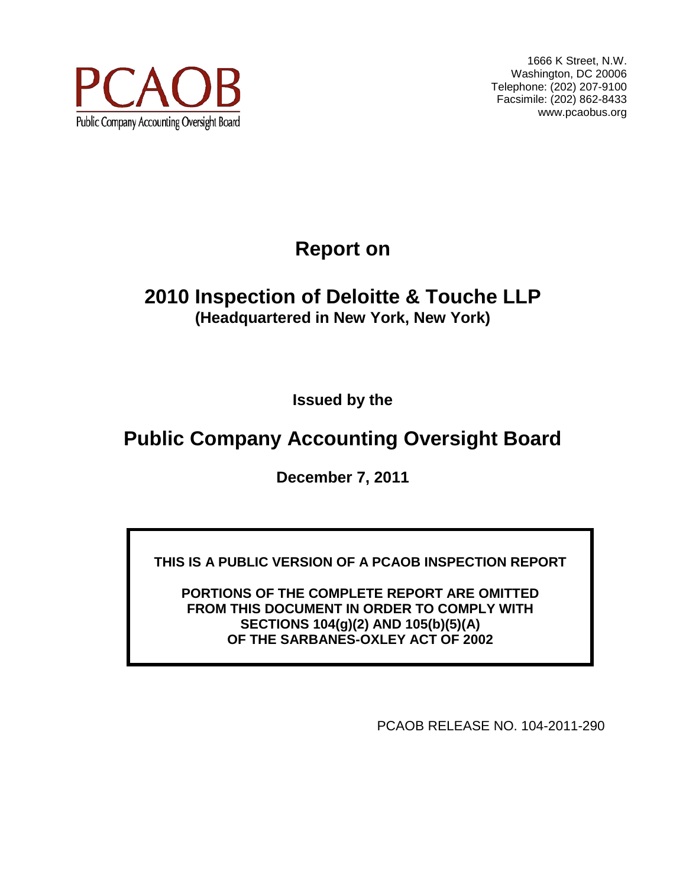

1666 K Street, N.W. Washington, DC 20006 Telephone: (202) 207-9100 Facsimile: (202) 862-8433 www.pcaobus.org

# **Report on**

# **2010 Inspection of Deloitte & Touche LLP (Headquartered in New York, New York)**

**Issued by the** 

# **Public Company Accounting Oversight Board**

**December 7, 2011**

**THIS IS A PUBLIC VERSION OF A PCAOB INSPECTION REPORT**

**PORTIONS OF THE COMPLETE REPORT ARE OMITTED FROM THIS DOCUMENT IN ORDER TO COMPLY WITH SECTIONS 104(g)(2) AND 105(b)(5)(A) OF THE SARBANES-OXLEY ACT OF 2002**

PCAOB RELEASE NO. 104-2011-290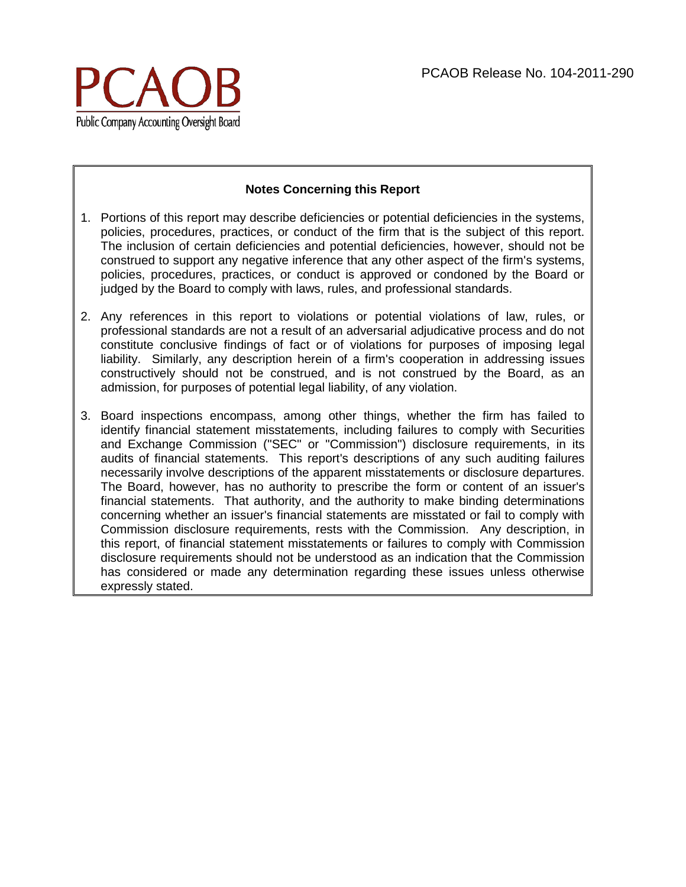

#### **Notes Concerning this Report**

- 1. Portions of this report may describe deficiencies or potential deficiencies in the systems, policies, procedures, practices, or conduct of the firm that is the subject of this report. The inclusion of certain deficiencies and potential deficiencies, however, should not be construed to support any negative inference that any other aspect of the firm's systems, policies, procedures, practices, or conduct is approved or condoned by the Board or judged by the Board to comply with laws, rules, and professional standards.
- 2. Any references in this report to violations or potential violations of law, rules, or professional standards are not a result of an adversarial adjudicative process and do not constitute conclusive findings of fact or of violations for purposes of imposing legal liability. Similarly, any description herein of a firm's cooperation in addressing issues constructively should not be construed, and is not construed by the Board, as an admission, for purposes of potential legal liability, of any violation.
- 3. Board inspections encompass, among other things, whether the firm has failed to identify financial statement misstatements, including failures to comply with Securities and Exchange Commission ("SEC" or "Commission") disclosure requirements, in its audits of financial statements. This report's descriptions of any such auditing failures necessarily involve descriptions of the apparent misstatements or disclosure departures. The Board, however, has no authority to prescribe the form or content of an issuer's financial statements. That authority, and the authority to make binding determinations concerning whether an issuer's financial statements are misstated or fail to comply with Commission disclosure requirements, rests with the Commission. Any description, in this report, of financial statement misstatements or failures to comply with Commission disclosure requirements should not be understood as an indication that the Commission has considered or made any determination regarding these issues unless otherwise expressly stated.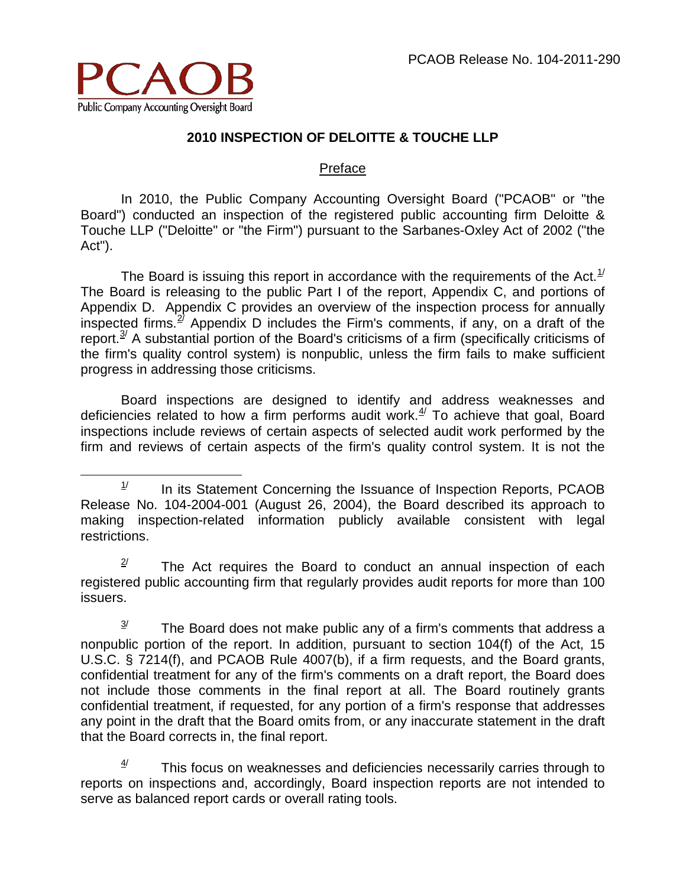

# **2010 INSPECTION OF DELOITTE & TOUCHE LLP**

#### Preface

In 2010, the Public Company Accounting Oversight Board ("PCAOB" or "the Board") conducted an inspection of the registered public accounting firm Deloitte & Touche LLP ("Deloitte" or "the Firm") pursuant to the Sarbanes-Oxley Act of 2002 ("the Act").

The Board is issuing this report in accordance with the requirements of the Act.<sup>[1/](#page-2-0)</sup> The Board is releasing to the public Part I of the report, Appendix C, and portions of Appendix D. Appendix C provides an overview of the inspection process for annually inspected firms.<sup>27</sup> Appendix D includes the Firm's comments, if any, on a draft of the report. $3/2$  $3/2$  A substantial portion of the Board's criticisms of a firm (specifically criticisms of the firm's quality control system) is nonpublic, unless the firm fails to make sufficient progress in addressing those criticisms.

Board inspections are designed to identify and address weaknesses and deficiencies related to how a firm performs audit work. $4/$  To achieve that goal, Board inspections include reviews of certain aspects of selected audit work performed by the firm and reviews of certain aspects of the firm's quality control system. It is not the

<span id="page-2-1"></span> $2^{\prime}$  The Act requires the Board to conduct an annual inspection of each registered public accounting firm that regularly provides audit reports for more than 100 issuers.

<span id="page-2-2"></span> $3<sup>j</sup>$  The Board does not make public any of a firm's comments that address a nonpublic portion of the report. In addition, pursuant to section 104(f) of the Act, 15 U.S.C. § 7214(f), and PCAOB Rule 4007(b), if a firm requests, and the Board grants, confidential treatment for any of the firm's comments on a draft report, the Board does not include those comments in the final report at all. The Board routinely grants confidential treatment, if requested, for any portion of a firm's response that addresses any point in the draft that the Board omits from, or any inaccurate statement in the draft that the Board corrects in, the final report.

<span id="page-2-3"></span> $4/$  This focus on weaknesses and deficiencies necessarily carries through to reports on inspections and, accordingly, Board inspection reports are not intended to serve as balanced report cards or overall rating tools.

<span id="page-2-0"></span> $1/$  In its Statement Concerning the Issuance of Inspection Reports, PCAOB Release No. 104-2004-001 (August 26, 2004), the Board described its approach to making inspection-related information publicly available consistent with legal restrictions.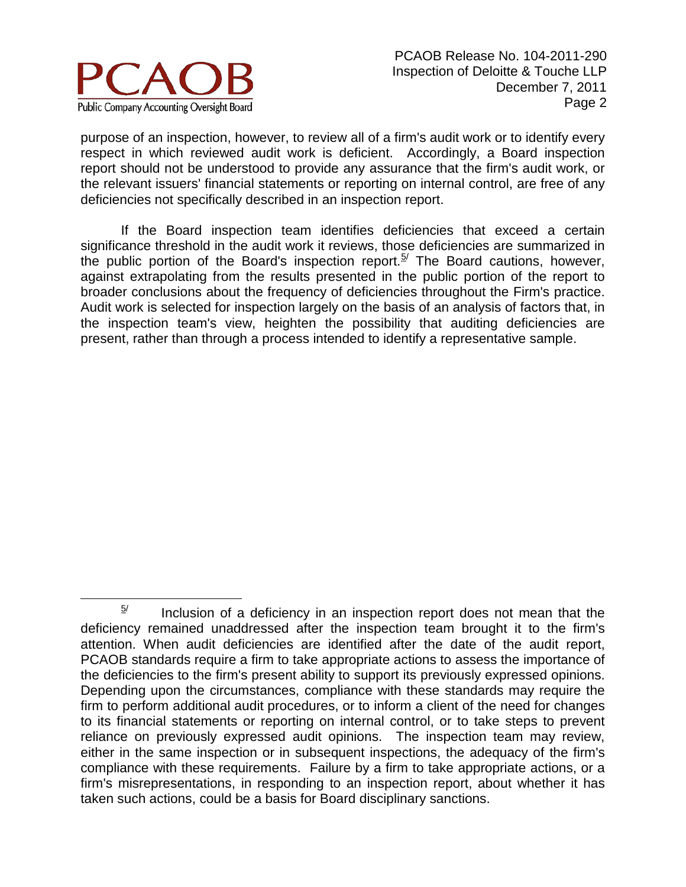

purpose of an inspection, however, to review all of a firm's audit work or to identify every respect in which reviewed audit work is deficient. Accordingly, a Board inspection report should not be understood to provide any assurance that the firm's audit work, or the relevant issuers' financial statements or reporting on internal control, are free of any deficiencies not specifically described in an inspection report.

If the Board inspection team identifies deficiencies that exceed a certain significance threshold in the audit work it reviews, those deficiencies are summarized in the public portion of the Board's inspection report.<sup>[5/](#page-3-0)</sup> The Board cautions, however, against extrapolating from the results presented in the public portion of the report to broader conclusions about the frequency of deficiencies throughout the Firm's practice. Audit work is selected for inspection largely on the basis of an analysis of factors that, in the inspection team's view, heighten the possibility that auditing deficiencies are present, rather than through a process intended to identify a representative sample.

<span id="page-3-0"></span> $5/$  Inclusion of a deficiency in an inspection report does not mean that the deficiency remained unaddressed after the inspection team brought it to the firm's attention. When audit deficiencies are identified after the date of the audit report, PCAOB standards require a firm to take appropriate actions to assess the importance of the deficiencies to the firm's present ability to support its previously expressed opinions. Depending upon the circumstances, compliance with these standards may require the firm to perform additional audit procedures, or to inform a client of the need for changes to its financial statements or reporting on internal control, or to take steps to prevent reliance on previously expressed audit opinions. The inspection team may review, either in the same inspection or in subsequent inspections, the adequacy of the firm's compliance with these requirements. Failure by a firm to take appropriate actions, or a firm's misrepresentations, in responding to an inspection report, about whether it has taken such actions, could be a basis for Board disciplinary sanctions.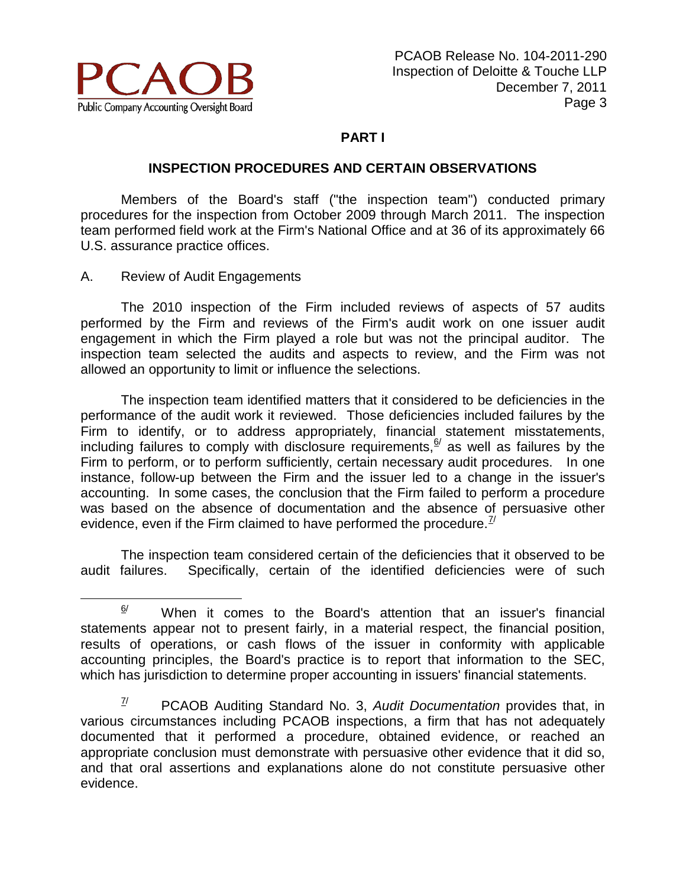

# **PART I**

# **INSPECTION PROCEDURES AND CERTAIN OBSERVATIONS**

Members of the Board's staff ("the inspection team") conducted primary procedures for the inspection from October 2009 through March 2011. The inspection team performed field work at the Firm's National Office and at 36 of its approximately 66 U.S. assurance practice offices.

A. Review of Audit Engagements

The 2010 inspection of the Firm included reviews of aspects of 57 audits performed by the Firm and reviews of the Firm's audit work on one issuer audit engagement in which the Firm played a role but was not the principal auditor. The inspection team selected the audits and aspects to review, and the Firm was not allowed an opportunity to limit or influence the selections.

The inspection team identified matters that it considered to be deficiencies in the performance of the audit work it reviewed. Those deficiencies included failures by the Firm to identify, or to address appropriately, financial statement misstatements, including failures to comply with disclosure requirements,  $\frac{6}{1}$  as well as failures by the Firm to perform, or to perform sufficiently, certain necessary audit procedures. In one instance, follow-up between the Firm and the issuer led to a change in the issuer's accounting. In some cases, the conclusion that the Firm failed to perform a procedure was based on the absence of documentation and the absence of persuasive other evidence, even if the Firm claimed to have performed the procedure.<sup> $\mathbb{Z}^{\prime}$ </sup>

The inspection team considered certain of the deficiencies that it observed to be audit failures. Specifically, certain of the identified deficiencies were of such

<span id="page-4-0"></span> $\frac{6}{1}$  When it comes to the Board's attention that an issuer's financial statements appear not to present fairly, in a material respect, the financial position, results of operations, or cash flows of the issuer in conformity with applicable accounting principles, the Board's practice is to report that information to the SEC, which has jurisdiction to determine proper accounting in issuers' financial statements.

<span id="page-4-1"></span><sup>7/</sup> PCAOB Auditing Standard No. 3, *Audit Documentation* provides that, in various circumstances including PCAOB inspections, a firm that has not adequately documented that it performed a procedure, obtained evidence, or reached an appropriate conclusion must demonstrate with persuasive other evidence that it did so, and that oral assertions and explanations alone do not constitute persuasive other evidence.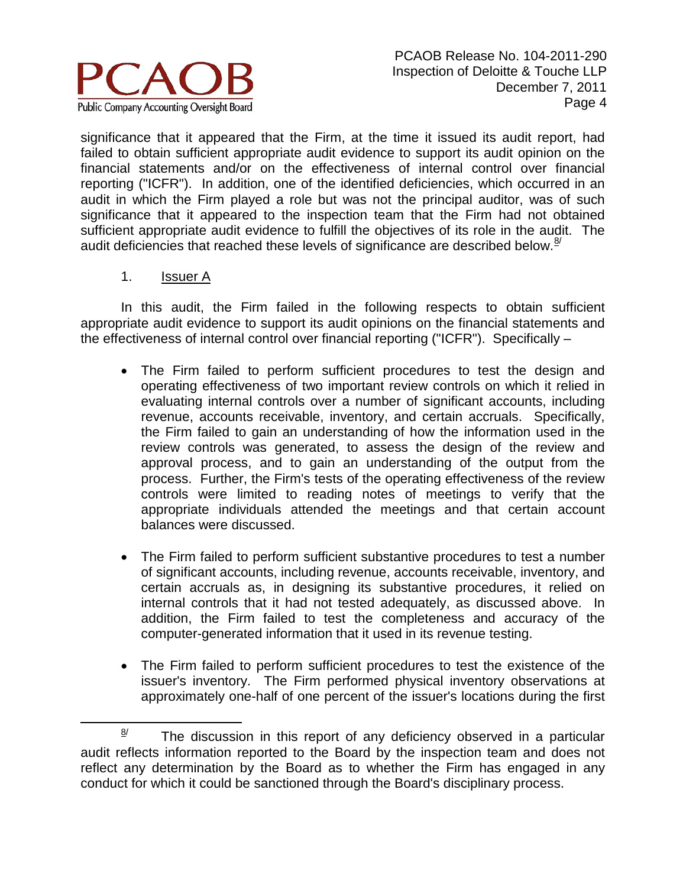

significance that it appeared that the Firm, at the time it issued its audit report, had failed to obtain sufficient appropriate audit evidence to support its audit opinion on the financial statements and/or on the effectiveness of internal control over financial reporting ("ICFR"). In addition, one of the identified deficiencies, which occurred in an audit in which the Firm played a role but was not the principal auditor, was of such significance that it appeared to the inspection team that the Firm had not obtained sufficient appropriate audit evidence to fulfill the objectives of its role in the audit. The audit deficiencies that reached these levels of significance are described below.<sup>[8](#page-5-0)/</sup>

1. Issuer A

In this audit, the Firm failed in the following respects to obtain sufficient appropriate audit evidence to support its audit opinions on the financial statements and the effectiveness of internal control over financial reporting ("ICFR"). Specifically –

- The Firm failed to perform sufficient procedures to test the design and operating effectiveness of two important review controls on which it relied in evaluating internal controls over a number of significant accounts, including revenue, accounts receivable, inventory, and certain accruals. Specifically, the Firm failed to gain an understanding of how the information used in the review controls was generated, to assess the design of the review and approval process, and to gain an understanding of the output from the process. Further, the Firm's tests of the operating effectiveness of the review controls were limited to reading notes of meetings to verify that the appropriate individuals attended the meetings and that certain account balances were discussed.
- The Firm failed to perform sufficient substantive procedures to test a number of significant accounts, including revenue, accounts receivable, inventory, and certain accruals as, in designing its substantive procedures, it relied on internal controls that it had not tested adequately, as discussed above. In addition, the Firm failed to test the completeness and accuracy of the computer-generated information that it used in its revenue testing.
- The Firm failed to perform sufficient procedures to test the existence of the issuer's inventory. The Firm performed physical inventory observations at approximately one-half of one percent of the issuer's locations during the first

<span id="page-5-0"></span> $\frac{8}{1}$  The discussion in this report of any deficiency observed in a particular audit reflects information reported to the Board by the inspection team and does not reflect any determination by the Board as to whether the Firm has engaged in any conduct for which it could be sanctioned through the Board's disciplinary process.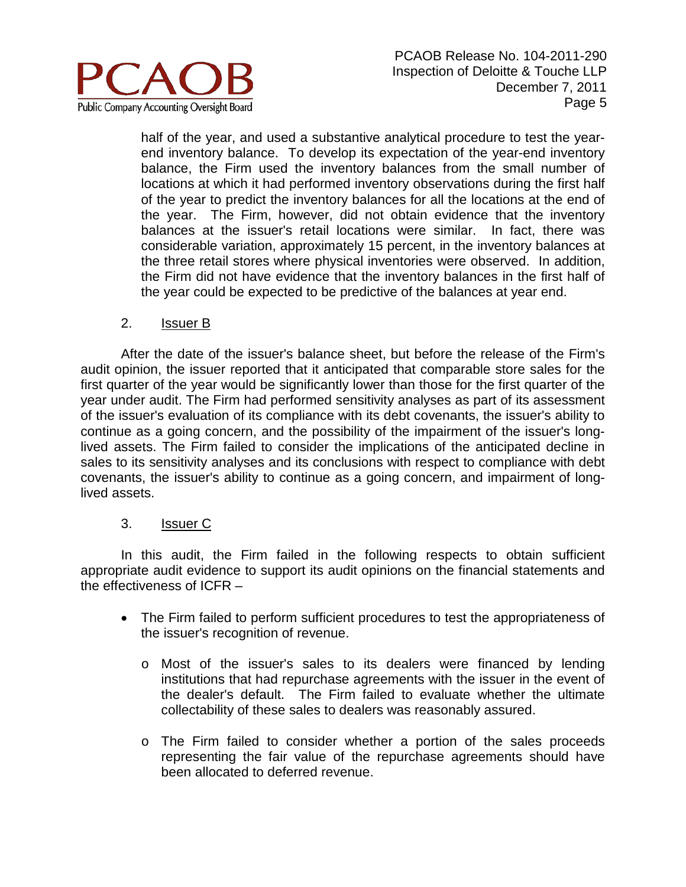

half of the year, and used a substantive analytical procedure to test the yearend inventory balance. To develop its expectation of the year-end inventory balance, the Firm used the inventory balances from the small number of locations at which it had performed inventory observations during the first half of the year to predict the inventory balances for all the locations at the end of the year. The Firm, however, did not obtain evidence that the inventory balances at the issuer's retail locations were similar. In fact, there was considerable variation, approximately 15 percent, in the inventory balances at the three retail stores where physical inventories were observed. In addition, the Firm did not have evidence that the inventory balances in the first half of the year could be expected to be predictive of the balances at year end.

## 2. Issuer B

After the date of the issuer's balance sheet, but before the release of the Firm's audit opinion, the issuer reported that it anticipated that comparable store sales for the first quarter of the year would be significantly lower than those for the first quarter of the year under audit. The Firm had performed sensitivity analyses as part of its assessment of the issuer's evaluation of its compliance with its debt covenants, the issuer's ability to continue as a going concern, and the possibility of the impairment of the issuer's longlived assets. The Firm failed to consider the implications of the anticipated decline in sales to its sensitivity analyses and its conclusions with respect to compliance with debt covenants, the issuer's ability to continue as a going concern, and impairment of longlived assets.

## 3. Issuer C

- The Firm failed to perform sufficient procedures to test the appropriateness of the issuer's recognition of revenue.
	- o Most of the issuer's sales to its dealers were financed by lending institutions that had repurchase agreements with the issuer in the event of the dealer's default. The Firm failed to evaluate whether the ultimate collectability of these sales to dealers was reasonably assured.
	- o The Firm failed to consider whether a portion of the sales proceeds representing the fair value of the repurchase agreements should have been allocated to deferred revenue.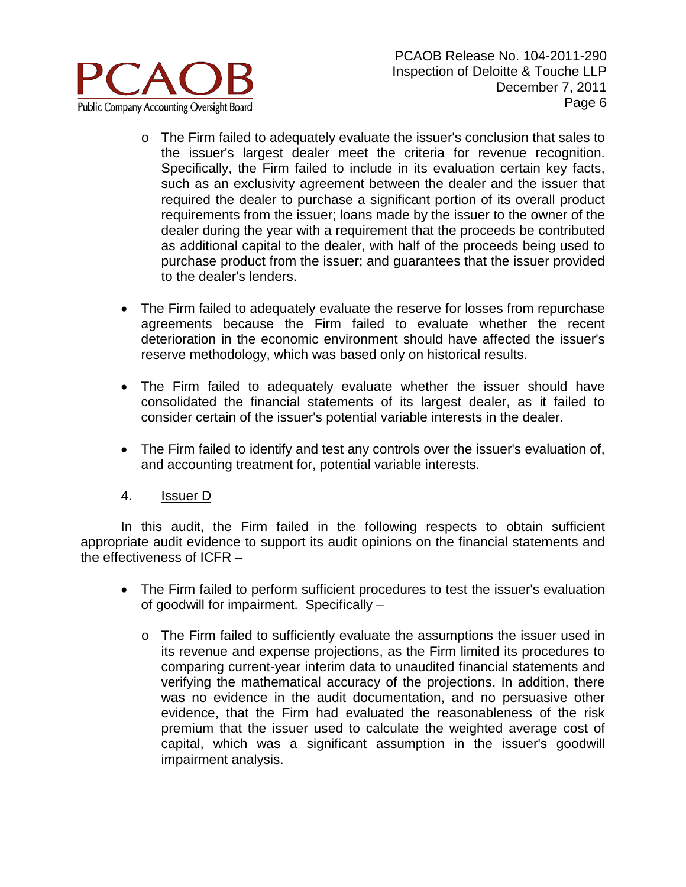

- o The Firm failed to adequately evaluate the issuer's conclusion that sales to the issuer's largest dealer meet the criteria for revenue recognition. Specifically, the Firm failed to include in its evaluation certain key facts, such as an exclusivity agreement between the dealer and the issuer that required the dealer to purchase a significant portion of its overall product requirements from the issuer; loans made by the issuer to the owner of the dealer during the year with a requirement that the proceeds be contributed as additional capital to the dealer, with half of the proceeds being used to purchase product from the issuer; and guarantees that the issuer provided to the dealer's lenders.
- The Firm failed to adequately evaluate the reserve for losses from repurchase agreements because the Firm failed to evaluate whether the recent deterioration in the economic environment should have affected the issuer's reserve methodology, which was based only on historical results.
- The Firm failed to adequately evaluate whether the issuer should have consolidated the financial statements of its largest dealer, as it failed to consider certain of the issuer's potential variable interests in the dealer.
- The Firm failed to identify and test any controls over the issuer's evaluation of, and accounting treatment for, potential variable interests.
- 4. Issuer D

- The Firm failed to perform sufficient procedures to test the issuer's evaluation of goodwill for impairment. Specifically –
	- o The Firm failed to sufficiently evaluate the assumptions the issuer used in its revenue and expense projections, as the Firm limited its procedures to comparing current-year interim data to unaudited financial statements and verifying the mathematical accuracy of the projections. In addition, there was no evidence in the audit documentation, and no persuasive other evidence, that the Firm had evaluated the reasonableness of the risk premium that the issuer used to calculate the weighted average cost of capital, which was a significant assumption in the issuer's goodwill impairment analysis.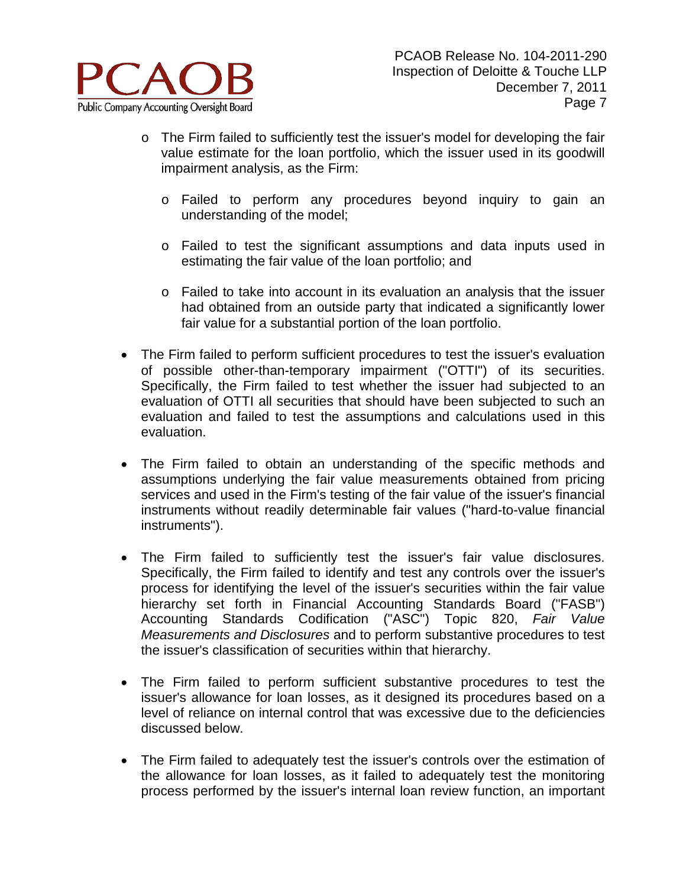

- o The Firm failed to sufficiently test the issuer's model for developing the fair value estimate for the loan portfolio, which the issuer used in its goodwill impairment analysis, as the Firm:
	- o Failed to perform any procedures beyond inquiry to gain an understanding of the model;
	- o Failed to test the significant assumptions and data inputs used in estimating the fair value of the loan portfolio; and
	- o Failed to take into account in its evaluation an analysis that the issuer had obtained from an outside party that indicated a significantly lower fair value for a substantial portion of the loan portfolio.
- The Firm failed to perform sufficient procedures to test the issuer's evaluation of possible other-than-temporary impairment ("OTTI") of its securities. Specifically, the Firm failed to test whether the issuer had subjected to an evaluation of OTTI all securities that should have been subjected to such an evaluation and failed to test the assumptions and calculations used in this evaluation.
- The Firm failed to obtain an understanding of the specific methods and assumptions underlying the fair value measurements obtained from pricing services and used in the Firm's testing of the fair value of the issuer's financial instruments without readily determinable fair values ("hard-to-value financial instruments").
- The Firm failed to sufficiently test the issuer's fair value disclosures. Specifically, the Firm failed to identify and test any controls over the issuer's process for identifying the level of the issuer's securities within the fair value hierarchy set forth in Financial Accounting Standards Board ("FASB") Accounting Standards Codification ("ASC") Topic 820, *Fair Value Measurements and Disclosures* and to perform substantive procedures to test the issuer's classification of securities within that hierarchy.
- The Firm failed to perform sufficient substantive procedures to test the issuer's allowance for loan losses, as it designed its procedures based on a level of reliance on internal control that was excessive due to the deficiencies discussed below.
- The Firm failed to adequately test the issuer's controls over the estimation of the allowance for loan losses, as it failed to adequately test the monitoring process performed by the issuer's internal loan review function, an important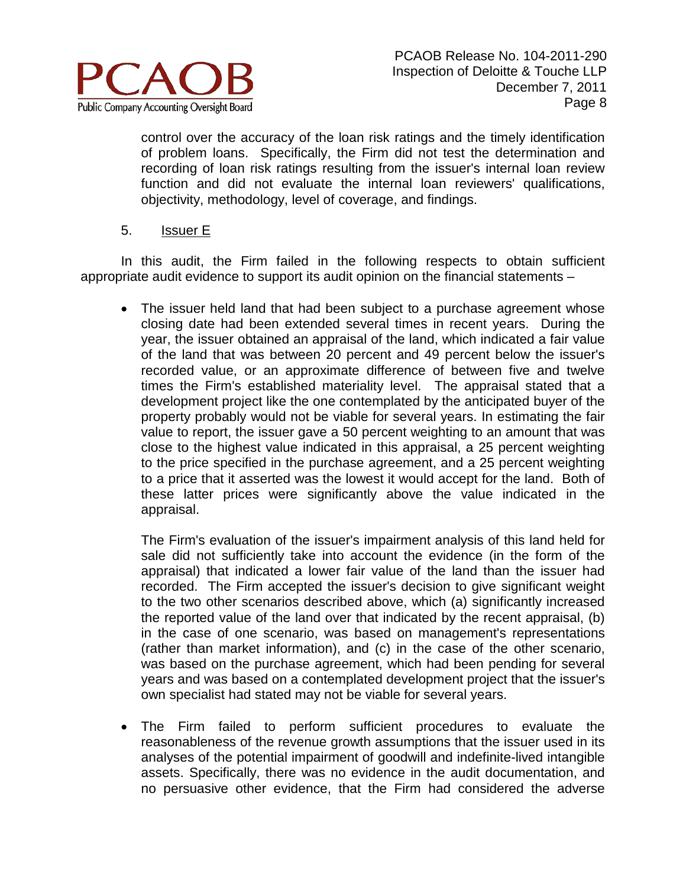

control over the accuracy of the loan risk ratings and the timely identification of problem loans. Specifically, the Firm did not test the determination and recording of loan risk ratings resulting from the issuer's internal loan review function and did not evaluate the internal loan reviewers' qualifications, objectivity, methodology, level of coverage, and findings.

## 5. Issuer E

In this audit, the Firm failed in the following respects to obtain sufficient appropriate audit evidence to support its audit opinion on the financial statements –

• The issuer held land that had been subject to a purchase agreement whose closing date had been extended several times in recent years. During the year, the issuer obtained an appraisal of the land, which indicated a fair value of the land that was between 20 percent and 49 percent below the issuer's recorded value, or an approximate difference of between five and twelve times the Firm's established materiality level. The appraisal stated that a development project like the one contemplated by the anticipated buyer of the property probably would not be viable for several years. In estimating the fair value to report, the issuer gave a 50 percent weighting to an amount that was close to the highest value indicated in this appraisal, a 25 percent weighting to the price specified in the purchase agreement, and a 25 percent weighting to a price that it asserted was the lowest it would accept for the land. Both of these latter prices were significantly above the value indicated in the appraisal.

The Firm's evaluation of the issuer's impairment analysis of this land held for sale did not sufficiently take into account the evidence (in the form of the appraisal) that indicated a lower fair value of the land than the issuer had recorded. The Firm accepted the issuer's decision to give significant weight to the two other scenarios described above, which (a) significantly increased the reported value of the land over that indicated by the recent appraisal, (b) in the case of one scenario, was based on management's representations (rather than market information), and (c) in the case of the other scenario, was based on the purchase agreement, which had been pending for several years and was based on a contemplated development project that the issuer's own specialist had stated may not be viable for several years.

• The Firm failed to perform sufficient procedures to evaluate the reasonableness of the revenue growth assumptions that the issuer used in its analyses of the potential impairment of goodwill and indefinite-lived intangible assets. Specifically, there was no evidence in the audit documentation, and no persuasive other evidence, that the Firm had considered the adverse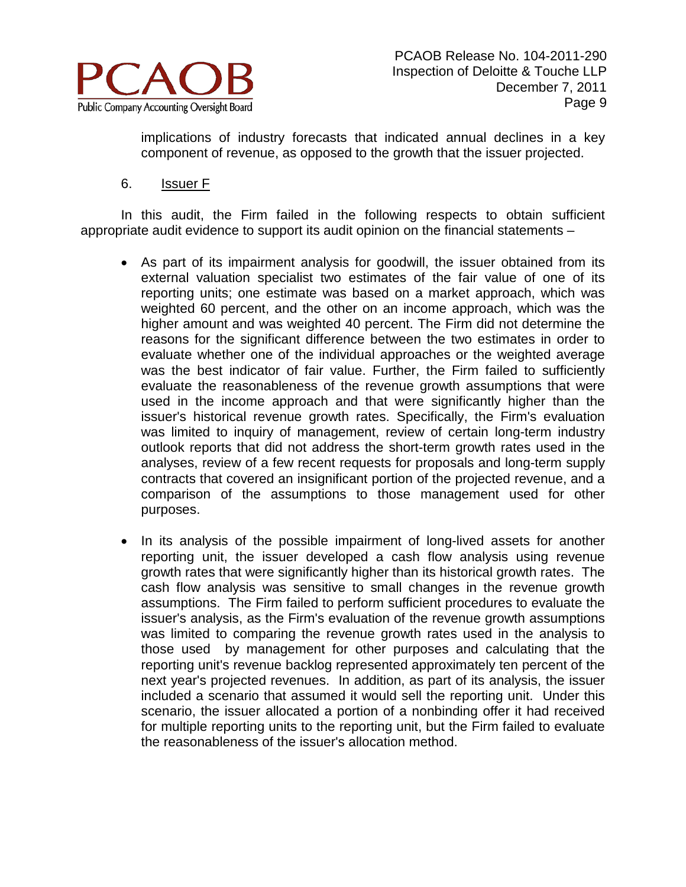

implications of industry forecasts that indicated annual declines in a key component of revenue, as opposed to the growth that the issuer projected.

6. Issuer F

- As part of its impairment analysis for goodwill, the issuer obtained from its external valuation specialist two estimates of the fair value of one of its reporting units; one estimate was based on a market approach, which was weighted 60 percent, and the other on an income approach, which was the higher amount and was weighted 40 percent. The Firm did not determine the reasons for the significant difference between the two estimates in order to evaluate whether one of the individual approaches or the weighted average was the best indicator of fair value. Further, the Firm failed to sufficiently evaluate the reasonableness of the revenue growth assumptions that were used in the income approach and that were significantly higher than the issuer's historical revenue growth rates. Specifically, the Firm's evaluation was limited to inquiry of management, review of certain long-term industry outlook reports that did not address the short-term growth rates used in the analyses, review of a few recent requests for proposals and long-term supply contracts that covered an insignificant portion of the projected revenue, and a comparison of the assumptions to those management used for other purposes.
- In its analysis of the possible impairment of long-lived assets for another reporting unit, the issuer developed a cash flow analysis using revenue growth rates that were significantly higher than its historical growth rates. The cash flow analysis was sensitive to small changes in the revenue growth assumptions. The Firm failed to perform sufficient procedures to evaluate the issuer's analysis, as the Firm's evaluation of the revenue growth assumptions was limited to comparing the revenue growth rates used in the analysis to those used by management for other purposes and calculating that the reporting unit's revenue backlog represented approximately ten percent of the next year's projected revenues. In addition, as part of its analysis, the issuer included a scenario that assumed it would sell the reporting unit. Under this scenario, the issuer allocated a portion of a nonbinding offer it had received for multiple reporting units to the reporting unit, but the Firm failed to evaluate the reasonableness of the issuer's allocation method.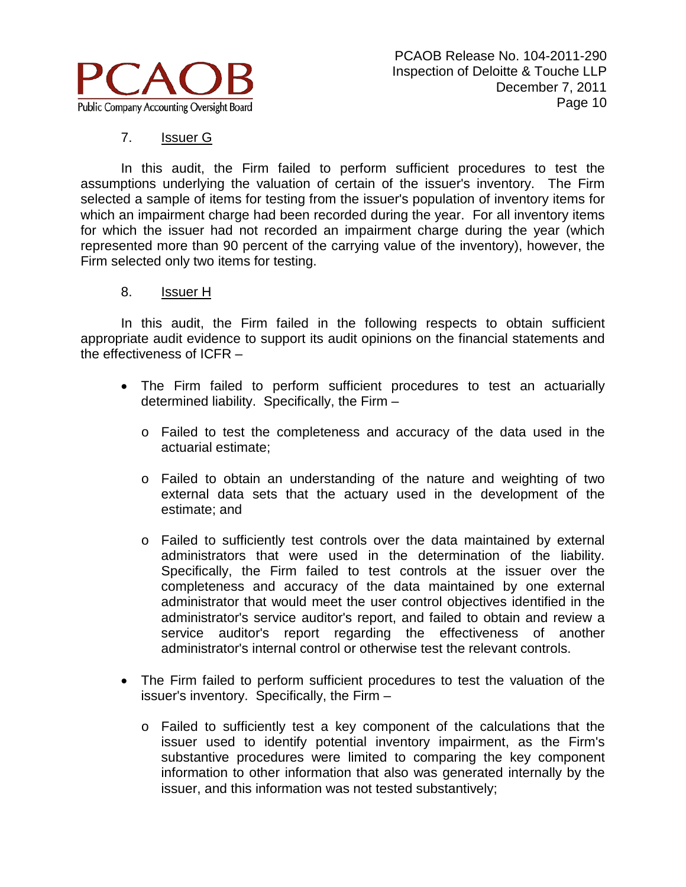

# 7. Issuer G

In this audit, the Firm failed to perform sufficient procedures to test the assumptions underlying the valuation of certain of the issuer's inventory. The Firm selected a sample of items for testing from the issuer's population of inventory items for which an impairment charge had been recorded during the year. For all inventory items for which the issuer had not recorded an impairment charge during the year (which represented more than 90 percent of the carrying value of the inventory), however, the Firm selected only two items for testing.

## 8. Issuer H

- The Firm failed to perform sufficient procedures to test an actuarially determined liability. Specifically, the Firm –
	- o Failed to test the completeness and accuracy of the data used in the actuarial estimate;
	- o Failed to obtain an understanding of the nature and weighting of two external data sets that the actuary used in the development of the estimate; and
	- o Failed to sufficiently test controls over the data maintained by external administrators that were used in the determination of the liability. Specifically, the Firm failed to test controls at the issuer over the completeness and accuracy of the data maintained by one external administrator that would meet the user control objectives identified in the administrator's service auditor's report, and failed to obtain and review a service auditor's report regarding the effectiveness of another administrator's internal control or otherwise test the relevant controls.
- The Firm failed to perform sufficient procedures to test the valuation of the issuer's inventory. Specifically, the Firm –
	- o Failed to sufficiently test a key component of the calculations that the issuer used to identify potential inventory impairment, as the Firm's substantive procedures were limited to comparing the key component information to other information that also was generated internally by the issuer, and this information was not tested substantively;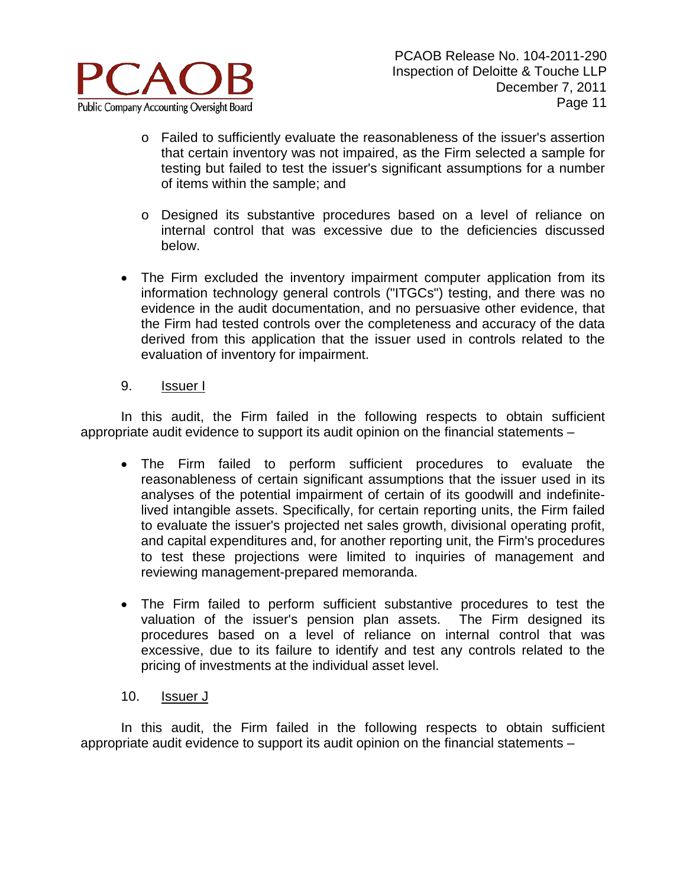

- o Failed to sufficiently evaluate the reasonableness of the issuer's assertion that certain inventory was not impaired, as the Firm selected a sample for testing but failed to test the issuer's significant assumptions for a number of items within the sample; and
- o Designed its substantive procedures based on a level of reliance on internal control that was excessive due to the deficiencies discussed below.
- The Firm excluded the inventory impairment computer application from its information technology general controls ("ITGCs") testing, and there was no evidence in the audit documentation, and no persuasive other evidence, that the Firm had tested controls over the completeness and accuracy of the data derived from this application that the issuer used in controls related to the evaluation of inventory for impairment.
- 9. Issuer I

In this audit, the Firm failed in the following respects to obtain sufficient appropriate audit evidence to support its audit opinion on the financial statements –

- The Firm failed to perform sufficient procedures to evaluate the reasonableness of certain significant assumptions that the issuer used in its analyses of the potential impairment of certain of its goodwill and indefinitelived intangible assets. Specifically, for certain reporting units, the Firm failed to evaluate the issuer's projected net sales growth, divisional operating profit, and capital expenditures and, for another reporting unit, the Firm's procedures to test these projections were limited to inquiries of management and reviewing management-prepared memoranda.
- The Firm failed to perform sufficient substantive procedures to test the valuation of the issuer's pension plan assets. The Firm designed its procedures based on a level of reliance on internal control that was excessive, due to its failure to identify and test any controls related to the pricing of investments at the individual asset level.
- 10. Issuer J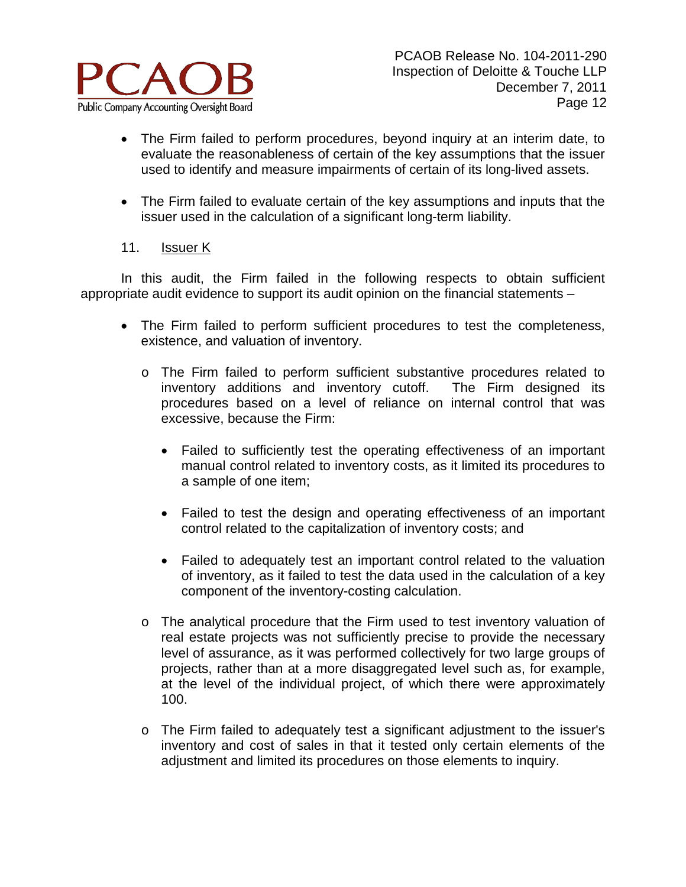

- The Firm failed to perform procedures, beyond inquiry at an interim date, to evaluate the reasonableness of certain of the key assumptions that the issuer used to identify and measure impairments of certain of its long-lived assets.
- The Firm failed to evaluate certain of the key assumptions and inputs that the issuer used in the calculation of a significant long-term liability.

# 11. Issuer K

- The Firm failed to perform sufficient procedures to test the completeness, existence, and valuation of inventory.
	- o The Firm failed to perform sufficient substantive procedures related to inventory additions and inventory cutoff. The Firm designed its procedures based on a level of reliance on internal control that was excessive, because the Firm:
		- Failed to sufficiently test the operating effectiveness of an important manual control related to inventory costs, as it limited its procedures to a sample of one item;
		- Failed to test the design and operating effectiveness of an important control related to the capitalization of inventory costs; and
		- Failed to adequately test an important control related to the valuation of inventory, as it failed to test the data used in the calculation of a key component of the inventory-costing calculation.
	- o The analytical procedure that the Firm used to test inventory valuation of real estate projects was not sufficiently precise to provide the necessary level of assurance, as it was performed collectively for two large groups of projects, rather than at a more disaggregated level such as, for example, at the level of the individual project, of which there were approximately 100.
	- o The Firm failed to adequately test a significant adjustment to the issuer's inventory and cost of sales in that it tested only certain elements of the adjustment and limited its procedures on those elements to inquiry.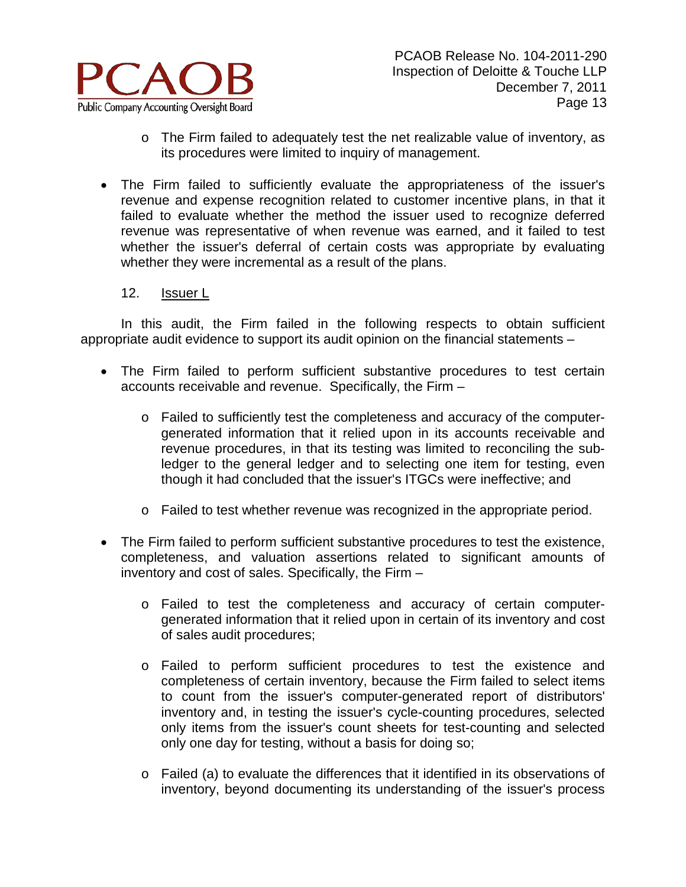

- o The Firm failed to adequately test the net realizable value of inventory, as its procedures were limited to inquiry of management.
- The Firm failed to sufficiently evaluate the appropriateness of the issuer's revenue and expense recognition related to customer incentive plans, in that it failed to evaluate whether the method the issuer used to recognize deferred revenue was representative of when revenue was earned, and it failed to test whether the issuer's deferral of certain costs was appropriate by evaluating whether they were incremental as a result of the plans.

#### 12. Issuer L

- The Firm failed to perform sufficient substantive procedures to test certain accounts receivable and revenue. Specifically, the Firm –
	- o Failed to sufficiently test the completeness and accuracy of the computergenerated information that it relied upon in its accounts receivable and revenue procedures, in that its testing was limited to reconciling the subledger to the general ledger and to selecting one item for testing, even though it had concluded that the issuer's ITGCs were ineffective; and
	- o Failed to test whether revenue was recognized in the appropriate period.
- The Firm failed to perform sufficient substantive procedures to test the existence, completeness, and valuation assertions related to significant amounts of inventory and cost of sales. Specifically, the Firm –
	- o Failed to test the completeness and accuracy of certain computergenerated information that it relied upon in certain of its inventory and cost of sales audit procedures;
	- o Failed to perform sufficient procedures to test the existence and completeness of certain inventory, because the Firm failed to select items to count from the issuer's computer-generated report of distributors' inventory and, in testing the issuer's cycle-counting procedures, selected only items from the issuer's count sheets for test-counting and selected only one day for testing, without a basis for doing so;
	- $\circ$  Failed (a) to evaluate the differences that it identified in its observations of inventory, beyond documenting its understanding of the issuer's process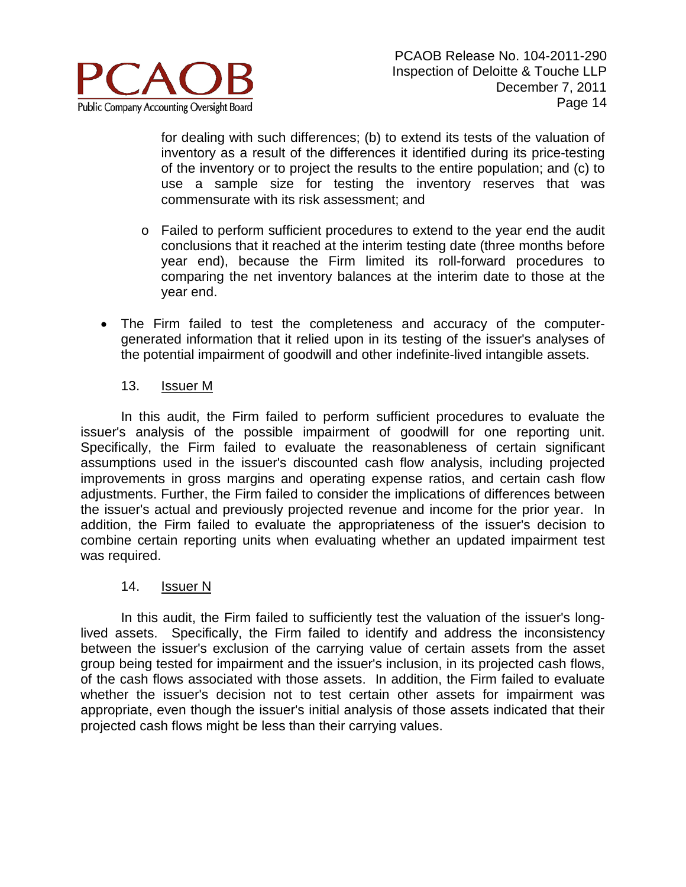

for dealing with such differences; (b) to extend its tests of the valuation of inventory as a result of the differences it identified during its price-testing of the inventory or to project the results to the entire population; and (c) to use a sample size for testing the inventory reserves that was commensurate with its risk assessment; and

- o Failed to perform sufficient procedures to extend to the year end the audit conclusions that it reached at the interim testing date (three months before year end), because the Firm limited its roll-forward procedures to comparing the net inventory balances at the interim date to those at the year end.
- The Firm failed to test the completeness and accuracy of the computergenerated information that it relied upon in its testing of the issuer's analyses of the potential impairment of goodwill and other indefinite-lived intangible assets.

## 13. Issuer M

In this audit, the Firm failed to perform sufficient procedures to evaluate the issuer's analysis of the possible impairment of goodwill for one reporting unit. Specifically, the Firm failed to evaluate the reasonableness of certain significant assumptions used in the issuer's discounted cash flow analysis, including projected improvements in gross margins and operating expense ratios, and certain cash flow adjustments. Further, the Firm failed to consider the implications of differences between the issuer's actual and previously projected revenue and income for the prior year. In addition, the Firm failed to evaluate the appropriateness of the issuer's decision to combine certain reporting units when evaluating whether an updated impairment test was required.

## 14. Issuer N

In this audit, the Firm failed to sufficiently test the valuation of the issuer's longlived assets. Specifically, the Firm failed to identify and address the inconsistency between the issuer's exclusion of the carrying value of certain assets from the asset group being tested for impairment and the issuer's inclusion, in its projected cash flows, of the cash flows associated with those assets. In addition, the Firm failed to evaluate whether the issuer's decision not to test certain other assets for impairment was appropriate, even though the issuer's initial analysis of those assets indicated that their projected cash flows might be less than their carrying values.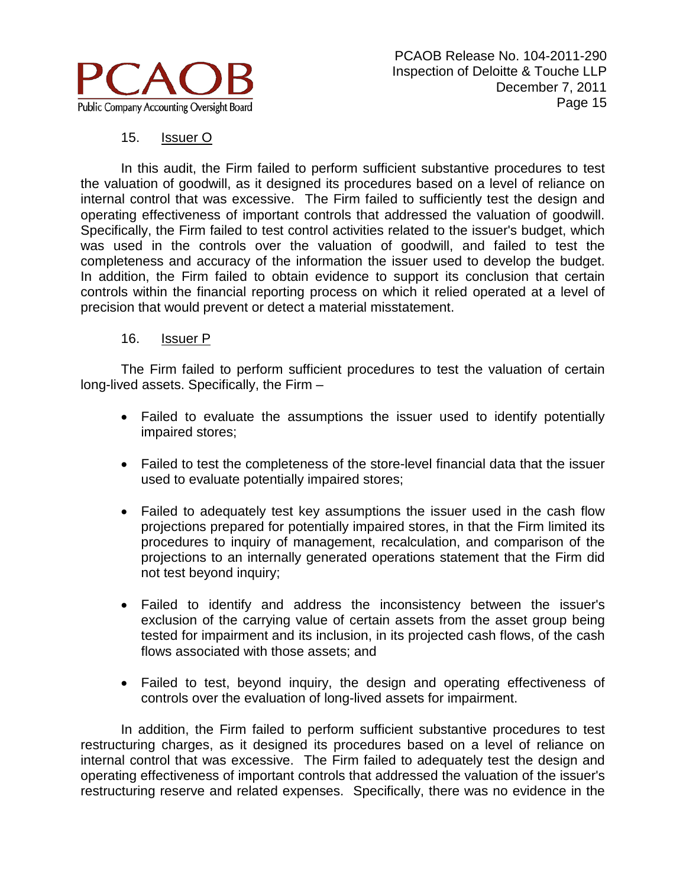

# 15. Issuer O

In this audit, the Firm failed to perform sufficient substantive procedures to test the valuation of goodwill, as it designed its procedures based on a level of reliance on internal control that was excessive. The Firm failed to sufficiently test the design and operating effectiveness of important controls that addressed the valuation of goodwill. Specifically, the Firm failed to test control activities related to the issuer's budget, which was used in the controls over the valuation of goodwill, and failed to test the completeness and accuracy of the information the issuer used to develop the budget. In addition, the Firm failed to obtain evidence to support its conclusion that certain controls within the financial reporting process on which it relied operated at a level of precision that would prevent or detect a material misstatement.

## 16. Issuer P

The Firm failed to perform sufficient procedures to test the valuation of certain long-lived assets. Specifically, the Firm –

- Failed to evaluate the assumptions the issuer used to identify potentially impaired stores;
- Failed to test the completeness of the store-level financial data that the issuer used to evaluate potentially impaired stores;
- Failed to adequately test key assumptions the issuer used in the cash flow projections prepared for potentially impaired stores, in that the Firm limited its procedures to inquiry of management, recalculation, and comparison of the projections to an internally generated operations statement that the Firm did not test beyond inquiry;
- Failed to identify and address the inconsistency between the issuer's exclusion of the carrying value of certain assets from the asset group being tested for impairment and its inclusion, in its projected cash flows, of the cash flows associated with those assets; and
- Failed to test, beyond inquiry, the design and operating effectiveness of controls over the evaluation of long-lived assets for impairment.

In addition, the Firm failed to perform sufficient substantive procedures to test restructuring charges, as it designed its procedures based on a level of reliance on internal control that was excessive. The Firm failed to adequately test the design and operating effectiveness of important controls that addressed the valuation of the issuer's restructuring reserve and related expenses. Specifically, there was no evidence in the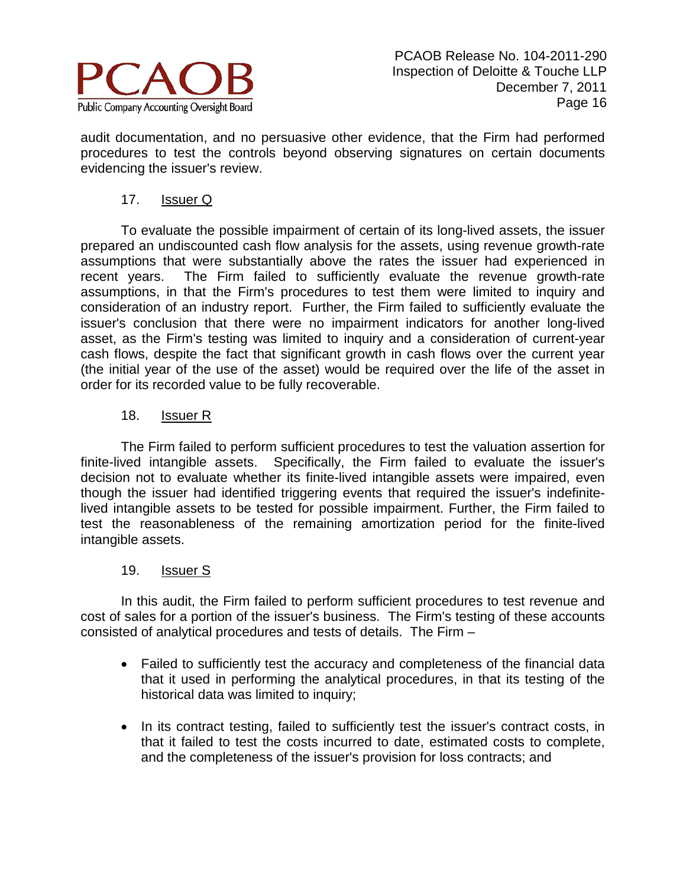

audit documentation, and no persuasive other evidence, that the Firm had performed procedures to test the controls beyond observing signatures on certain documents evidencing the issuer's review.

# 17. Issuer Q

To evaluate the possible impairment of certain of its long-lived assets, the issuer prepared an undiscounted cash flow analysis for the assets, using revenue growth-rate assumptions that were substantially above the rates the issuer had experienced in recent years. The Firm failed to sufficiently evaluate the revenue growth-rate assumptions, in that the Firm's procedures to test them were limited to inquiry and consideration of an industry report. Further, the Firm failed to sufficiently evaluate the issuer's conclusion that there were no impairment indicators for another long-lived asset, as the Firm's testing was limited to inquiry and a consideration of current-year cash flows, despite the fact that significant growth in cash flows over the current year (the initial year of the use of the asset) would be required over the life of the asset in order for its recorded value to be fully recoverable.

# 18. Issuer R

The Firm failed to perform sufficient procedures to test the valuation assertion for finite-lived intangible assets. Specifically, the Firm failed to evaluate the issuer's decision not to evaluate whether its finite-lived intangible assets were impaired, even though the issuer had identified triggering events that required the issuer's indefinitelived intangible assets to be tested for possible impairment. Further, the Firm failed to test the reasonableness of the remaining amortization period for the finite-lived intangible assets.

## 19. Issuer S

In this audit, the Firm failed to perform sufficient procedures to test revenue and cost of sales for a portion of the issuer's business. The Firm's testing of these accounts consisted of analytical procedures and tests of details. The Firm –

- Failed to sufficiently test the accuracy and completeness of the financial data that it used in performing the analytical procedures, in that its testing of the historical data was limited to inquiry;
- In its contract testing, failed to sufficiently test the issuer's contract costs, in that it failed to test the costs incurred to date, estimated costs to complete, and the completeness of the issuer's provision for loss contracts; and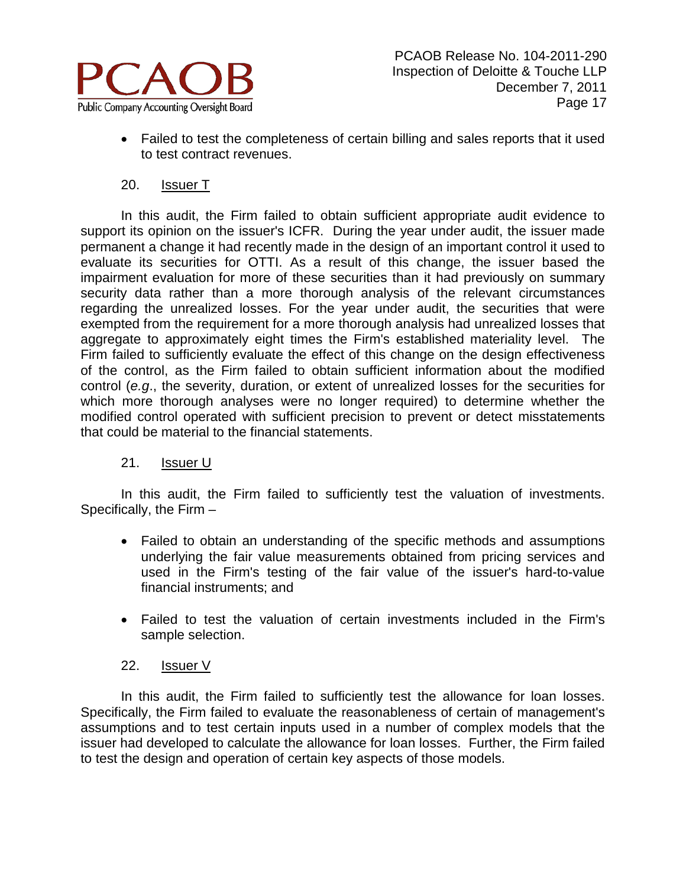

• Failed to test the completeness of certain billing and sales reports that it used to test contract revenues.

# 20. Issuer T

In this audit, the Firm failed to obtain sufficient appropriate audit evidence to support its opinion on the issuer's ICFR. During the year under audit, the issuer made permanent a change it had recently made in the design of an important control it used to evaluate its securities for OTTI. As a result of this change, the issuer based the impairment evaluation for more of these securities than it had previously on summary security data rather than a more thorough analysis of the relevant circumstances regarding the unrealized losses. For the year under audit, the securities that were exempted from the requirement for a more thorough analysis had unrealized losses that aggregate to approximately eight times the Firm's established materiality level. The Firm failed to sufficiently evaluate the effect of this change on the design effectiveness of the control, as the Firm failed to obtain sufficient information about the modified control (*e.g*., the severity, duration, or extent of unrealized losses for the securities for which more thorough analyses were no longer required) to determine whether the modified control operated with sufficient precision to prevent or detect misstatements that could be material to the financial statements.

# 21. Issuer U

In this audit, the Firm failed to sufficiently test the valuation of investments. Specifically, the Firm –

- Failed to obtain an understanding of the specific methods and assumptions underlying the fair value measurements obtained from pricing services and used in the Firm's testing of the fair value of the issuer's hard-to-value financial instruments; and
- Failed to test the valuation of certain investments included in the Firm's sample selection.

## 22. Issuer V

In this audit, the Firm failed to sufficiently test the allowance for loan losses. Specifically, the Firm failed to evaluate the reasonableness of certain of management's assumptions and to test certain inputs used in a number of complex models that the issuer had developed to calculate the allowance for loan losses. Further, the Firm failed to test the design and operation of certain key aspects of those models.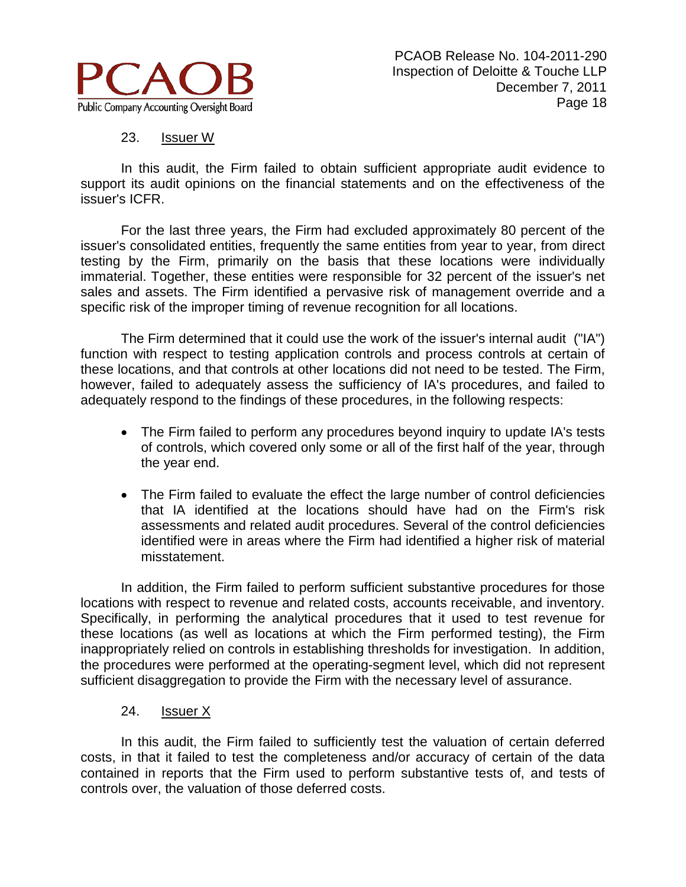

# 23. **Issuer W**

In this audit, the Firm failed to obtain sufficient appropriate audit evidence to support its audit opinions on the financial statements and on the effectiveness of the issuer's ICFR.

For the last three years, the Firm had excluded approximately 80 percent of the issuer's consolidated entities, frequently the same entities from year to year, from direct testing by the Firm, primarily on the basis that these locations were individually immaterial. Together, these entities were responsible for 32 percent of the issuer's net sales and assets. The Firm identified a pervasive risk of management override and a specific risk of the improper timing of revenue recognition for all locations.

The Firm determined that it could use the work of the issuer's internal audit ("IA") function with respect to testing application controls and process controls at certain of these locations, and that controls at other locations did not need to be tested. The Firm, however, failed to adequately assess the sufficiency of IA's procedures, and failed to adequately respond to the findings of these procedures, in the following respects:

- The Firm failed to perform any procedures beyond inquiry to update IA's tests of controls, which covered only some or all of the first half of the year, through the year end.
- The Firm failed to evaluate the effect the large number of control deficiencies that IA identified at the locations should have had on the Firm's risk assessments and related audit procedures. Several of the control deficiencies identified were in areas where the Firm had identified a higher risk of material misstatement.

In addition, the Firm failed to perform sufficient substantive procedures for those locations with respect to revenue and related costs, accounts receivable, and inventory. Specifically, in performing the analytical procedures that it used to test revenue for these locations (as well as locations at which the Firm performed testing), the Firm inappropriately relied on controls in establishing thresholds for investigation. In addition, the procedures were performed at the operating-segment level, which did not represent sufficient disaggregation to provide the Firm with the necessary level of assurance.

## 24. Issuer X

In this audit, the Firm failed to sufficiently test the valuation of certain deferred costs, in that it failed to test the completeness and/or accuracy of certain of the data contained in reports that the Firm used to perform substantive tests of, and tests of controls over, the valuation of those deferred costs.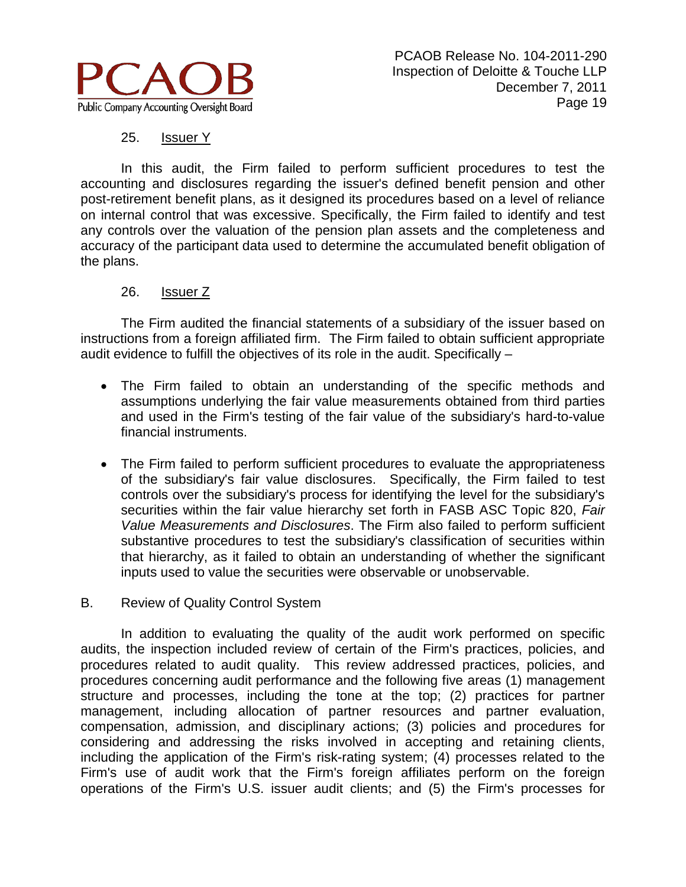

# 25. Issuer Y

In this audit, the Firm failed to perform sufficient procedures to test the accounting and disclosures regarding the issuer's defined benefit pension and other post-retirement benefit plans, as it designed its procedures based on a level of reliance on internal control that was excessive. Specifically, the Firm failed to identify and test any controls over the valuation of the pension plan assets and the completeness and accuracy of the participant data used to determine the accumulated benefit obligation of the plans.

## 26. Issuer Z

The Firm audited the financial statements of a subsidiary of the issuer based on instructions from a foreign affiliated firm. The Firm failed to obtain sufficient appropriate audit evidence to fulfill the objectives of its role in the audit. Specifically –

- The Firm failed to obtain an understanding of the specific methods and assumptions underlying the fair value measurements obtained from third parties and used in the Firm's testing of the fair value of the subsidiary's hard-to-value financial instruments.
- The Firm failed to perform sufficient procedures to evaluate the appropriateness of the subsidiary's fair value disclosures. Specifically, the Firm failed to test controls over the subsidiary's process for identifying the level for the subsidiary's securities within the fair value hierarchy set forth in FASB ASC Topic 820, *Fair Value Measurements and Disclosures*. The Firm also failed to perform sufficient substantive procedures to test the subsidiary's classification of securities within that hierarchy, as it failed to obtain an understanding of whether the significant inputs used to value the securities were observable or unobservable.

## B. Review of Quality Control System

In addition to evaluating the quality of the audit work performed on specific audits, the inspection included review of certain of the Firm's practices, policies, and procedures related to audit quality. This review addressed practices, policies, and procedures concerning audit performance and the following five areas (1) management structure and processes, including the tone at the top; (2) practices for partner management, including allocation of partner resources and partner evaluation, compensation, admission, and disciplinary actions; (3) policies and procedures for considering and addressing the risks involved in accepting and retaining clients, including the application of the Firm's risk-rating system; (4) processes related to the Firm's use of audit work that the Firm's foreign affiliates perform on the foreign operations of the Firm's U.S. issuer audit clients; and (5) the Firm's processes for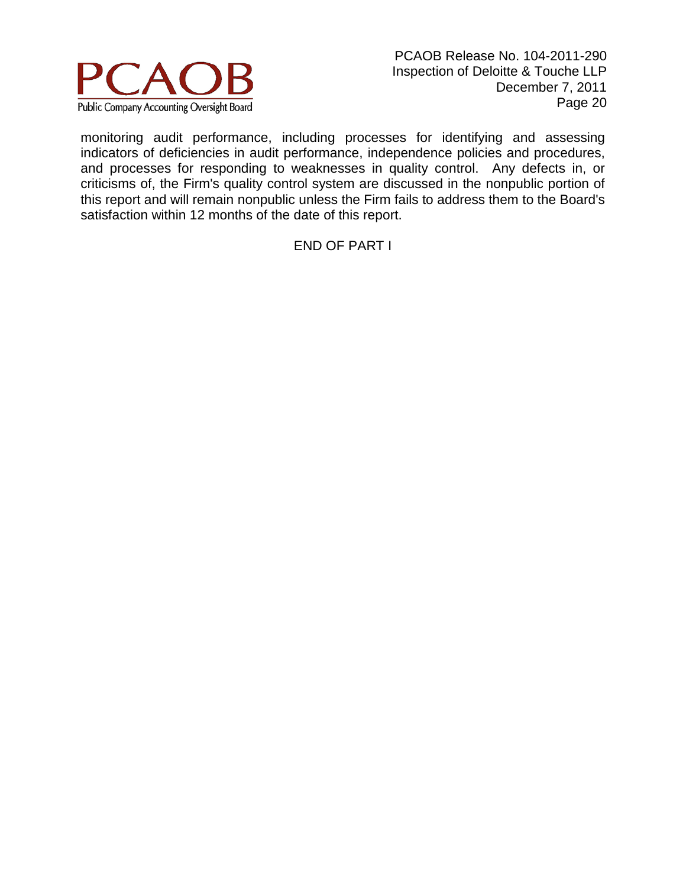

monitoring audit performance, including processes for identifying and assessing indicators of deficiencies in audit performance, independence policies and procedures, and processes for responding to weaknesses in quality control. Any defects in, or criticisms of, the Firm's quality control system are discussed in the nonpublic portion of this report and will remain nonpublic unless the Firm fails to address them to the Board's satisfaction within 12 months of the date of this report.

## END OF PART I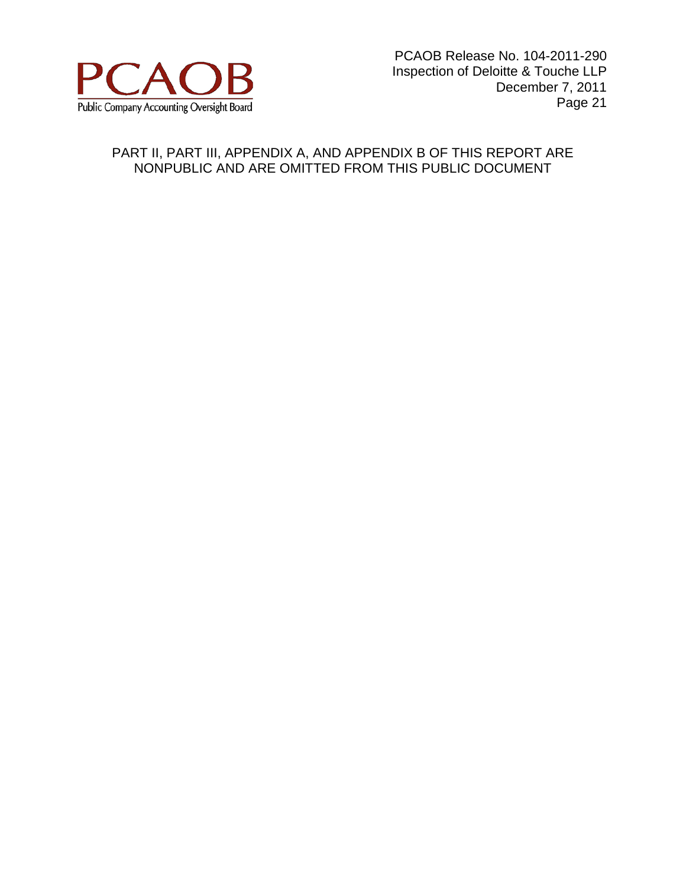

# PART II, PART III, APPENDIX A, AND APPENDIX B OF THIS REPORT ARE NONPUBLIC AND ARE OMITTED FROM THIS PUBLIC DOCUMENT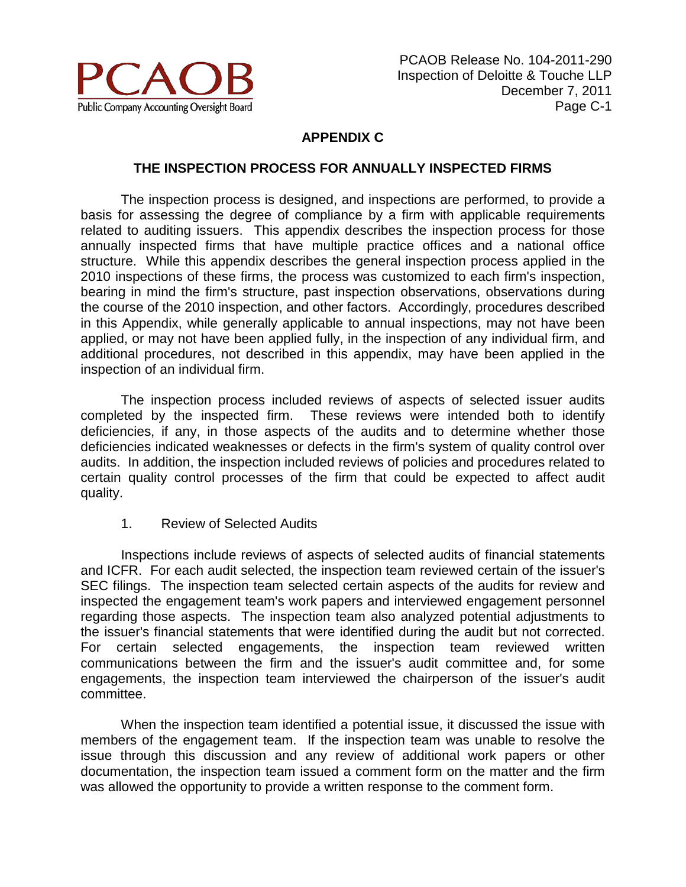

# **APPENDIX C**

#### **THE INSPECTION PROCESS FOR ANNUALLY INSPECTED FIRMS**

The inspection process is designed, and inspections are performed, to provide a basis for assessing the degree of compliance by a firm with applicable requirements related to auditing issuers. This appendix describes the inspection process for those annually inspected firms that have multiple practice offices and a national office structure. While this appendix describes the general inspection process applied in the 2010 inspections of these firms, the process was customized to each firm's inspection, bearing in mind the firm's structure, past inspection observations, observations during the course of the 2010 inspection, and other factors. Accordingly, procedures described in this Appendix, while generally applicable to annual inspections, may not have been applied, or may not have been applied fully, in the inspection of any individual firm, and additional procedures, not described in this appendix, may have been applied in the inspection of an individual firm.

The inspection process included reviews of aspects of selected issuer audits completed by the inspected firm. These reviews were intended both to identify deficiencies, if any, in those aspects of the audits and to determine whether those deficiencies indicated weaknesses or defects in the firm's system of quality control over audits. In addition, the inspection included reviews of policies and procedures related to certain quality control processes of the firm that could be expected to affect audit quality.

1. Review of Selected Audits

Inspections include reviews of aspects of selected audits of financial statements and ICFR. For each audit selected, the inspection team reviewed certain of the issuer's SEC filings. The inspection team selected certain aspects of the audits for review and inspected the engagement team's work papers and interviewed engagement personnel regarding those aspects. The inspection team also analyzed potential adjustments to the issuer's financial statements that were identified during the audit but not corrected. For certain selected engagements, the inspection team reviewed written communications between the firm and the issuer's audit committee and, for some engagements, the inspection team interviewed the chairperson of the issuer's audit committee.

When the inspection team identified a potential issue, it discussed the issue with members of the engagement team. If the inspection team was unable to resolve the issue through this discussion and any review of additional work papers or other documentation, the inspection team issued a comment form on the matter and the firm was allowed the opportunity to provide a written response to the comment form.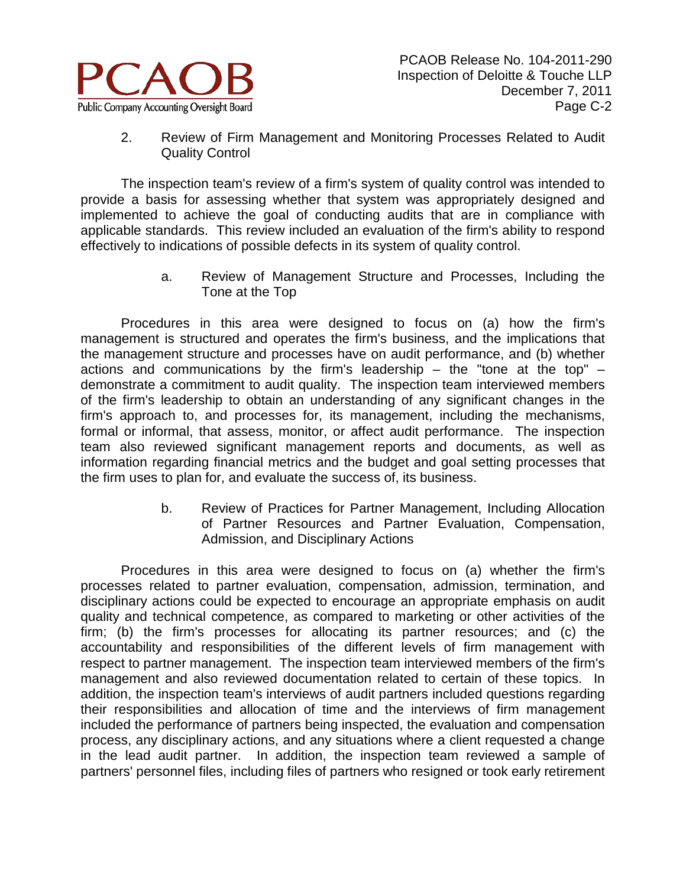

2. Review of Firm Management and Monitoring Processes Related to Audit Quality Control

The inspection team's review of a firm's system of quality control was intended to provide a basis for assessing whether that system was appropriately designed and implemented to achieve the goal of conducting audits that are in compliance with applicable standards. This review included an evaluation of the firm's ability to respond effectively to indications of possible defects in its system of quality control.

> a. Review of Management Structure and Processes, Including the Tone at the Top

Procedures in this area were designed to focus on (a) how the firm's management is structured and operates the firm's business, and the implications that the management structure and processes have on audit performance, and (b) whether actions and communications by the firm's leadership  $-$  the "tone at the top"  $$ demonstrate a commitment to audit quality. The inspection team interviewed members of the firm's leadership to obtain an understanding of any significant changes in the firm's approach to, and processes for, its management, including the mechanisms, formal or informal, that assess, monitor, or affect audit performance. The inspection team also reviewed significant management reports and documents, as well as information regarding financial metrics and the budget and goal setting processes that the firm uses to plan for, and evaluate the success of, its business.

> b. Review of Practices for Partner Management, Including Allocation of Partner Resources and Partner Evaluation, Compensation, Admission, and Disciplinary Actions

Procedures in this area were designed to focus on (a) whether the firm's processes related to partner evaluation, compensation, admission, termination, and disciplinary actions could be expected to encourage an appropriate emphasis on audit quality and technical competence, as compared to marketing or other activities of the firm; (b) the firm's processes for allocating its partner resources; and (c) the accountability and responsibilities of the different levels of firm management with respect to partner management. The inspection team interviewed members of the firm's management and also reviewed documentation related to certain of these topics. In addition, the inspection team's interviews of audit partners included questions regarding their responsibilities and allocation of time and the interviews of firm management included the performance of partners being inspected, the evaluation and compensation process, any disciplinary actions, and any situations where a client requested a change in the lead audit partner. In addition, the inspection team reviewed a sample of partners' personnel files, including files of partners who resigned or took early retirement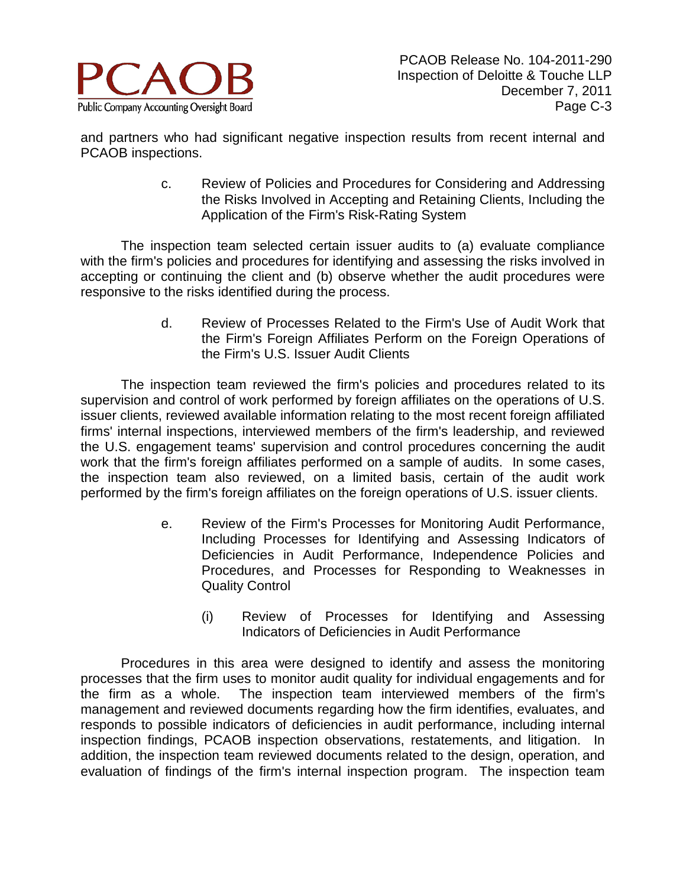

and partners who had significant negative inspection results from recent internal and PCAOB inspections.

> c. Review of Policies and Procedures for Considering and Addressing the Risks Involved in Accepting and Retaining Clients, Including the Application of the Firm's Risk-Rating System

The inspection team selected certain issuer audits to (a) evaluate compliance with the firm's policies and procedures for identifying and assessing the risks involved in accepting or continuing the client and (b) observe whether the audit procedures were responsive to the risks identified during the process.

> d. Review of Processes Related to the Firm's Use of Audit Work that the Firm's Foreign Affiliates Perform on the Foreign Operations of the Firm's U.S. Issuer Audit Clients

The inspection team reviewed the firm's policies and procedures related to its supervision and control of work performed by foreign affiliates on the operations of U.S. issuer clients, reviewed available information relating to the most recent foreign affiliated firms' internal inspections, interviewed members of the firm's leadership, and reviewed the U.S. engagement teams' supervision and control procedures concerning the audit work that the firm's foreign affiliates performed on a sample of audits. In some cases, the inspection team also reviewed, on a limited basis, certain of the audit work performed by the firm's foreign affiliates on the foreign operations of U.S. issuer clients.

- e. Review of the Firm's Processes for Monitoring Audit Performance, Including Processes for Identifying and Assessing Indicators of Deficiencies in Audit Performance, Independence Policies and Procedures, and Processes for Responding to Weaknesses in Quality Control
	- (i) Review of Processes for Identifying and Assessing Indicators of Deficiencies in Audit Performance

Procedures in this area were designed to identify and assess the monitoring processes that the firm uses to monitor audit quality for individual engagements and for the firm as a whole. The inspection team interviewed members of the firm's management and reviewed documents regarding how the firm identifies, evaluates, and responds to possible indicators of deficiencies in audit performance, including internal inspection findings, PCAOB inspection observations, restatements, and litigation. In addition, the inspection team reviewed documents related to the design, operation, and evaluation of findings of the firm's internal inspection program. The inspection team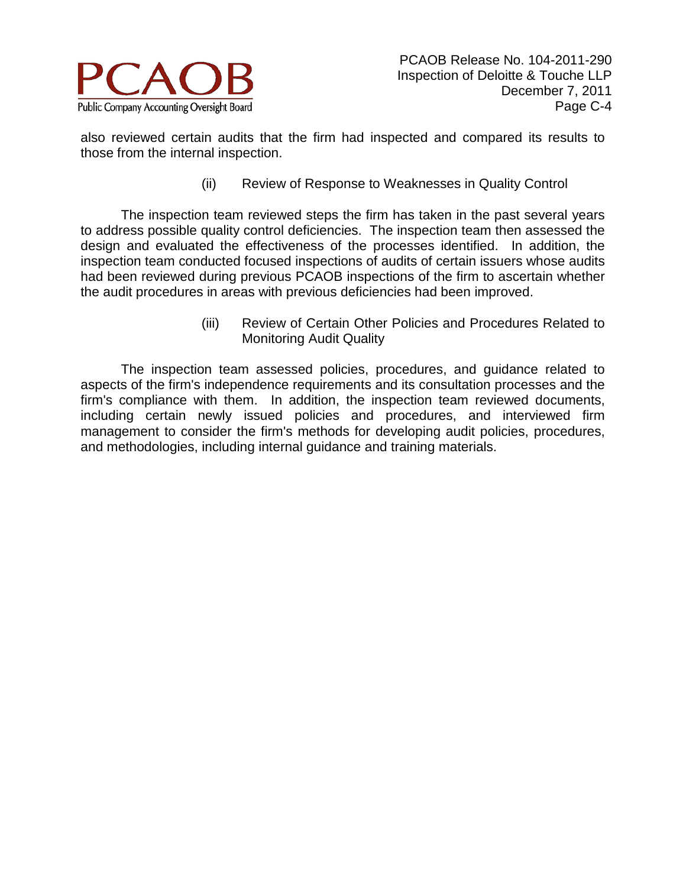

also reviewed certain audits that the firm had inspected and compared its results to those from the internal inspection.

(ii) Review of Response to Weaknesses in Quality Control

The inspection team reviewed steps the firm has taken in the past several years to address possible quality control deficiencies. The inspection team then assessed the design and evaluated the effectiveness of the processes identified. In addition, the inspection team conducted focused inspections of audits of certain issuers whose audits had been reviewed during previous PCAOB inspections of the firm to ascertain whether the audit procedures in areas with previous deficiencies had been improved.

> (iii) Review of Certain Other Policies and Procedures Related to Monitoring Audit Quality

The inspection team assessed policies, procedures, and guidance related to aspects of the firm's independence requirements and its consultation processes and the firm's compliance with them. In addition, the inspection team reviewed documents, including certain newly issued policies and procedures, and interviewed firm management to consider the firm's methods for developing audit policies, procedures, and methodologies, including internal guidance and training materials.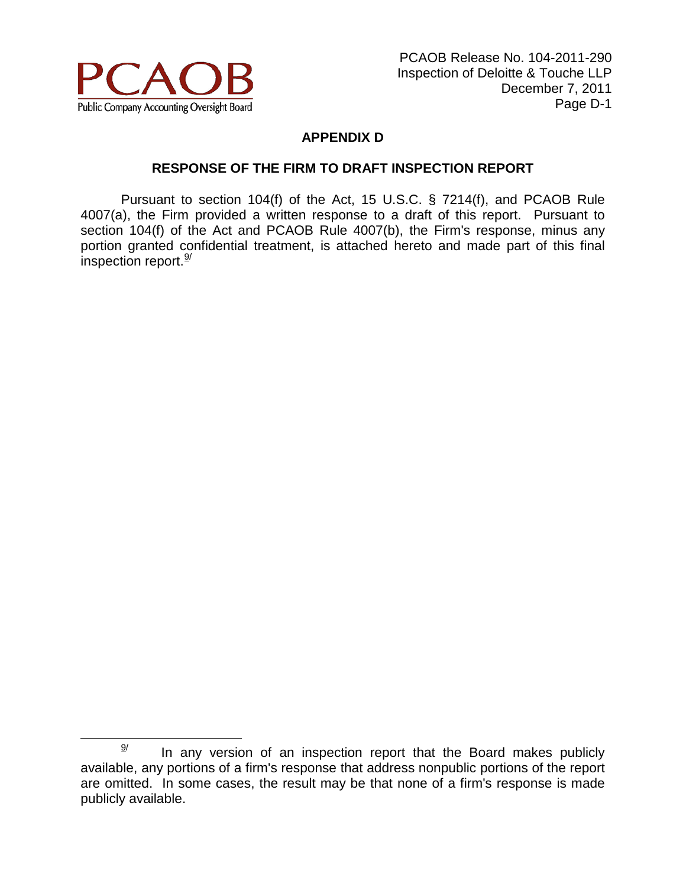

# **APPENDIX D**

# **RESPONSE OF THE FIRM TO DRAFT INSPECTION REPORT**

Pursuant to section 104(f) of the Act, 15 U.S.C. § 7214(f), and PCAOB Rule 4007(a), the Firm provided a written response to a draft of this report. Pursuant to section 104(f) of the Act and PCAOB Rule 4007(b), the Firm's response, minus any portion granted confidential treatment, is attached hereto and made part of this final inspection report.<sup>[9/](#page-27-0)</sup>

<span id="page-27-0"></span> $\frac{9}{2}$  In any version of an inspection report that the Board makes publicly available, any portions of a firm's response that address nonpublic portions of the report are omitted. In some cases, the result may be that none of a firm's response is made publicly available.